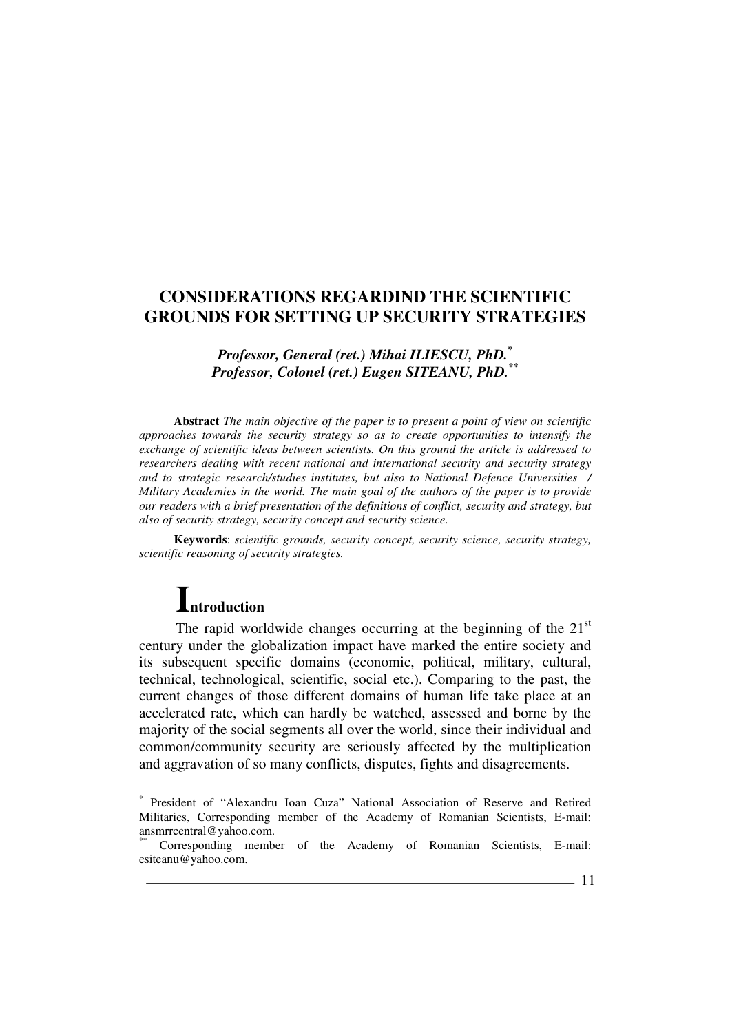# *Professor, General (ret.) Mihai ILIESCU, PhD.\* Professor, Colonel (ret.) Eugen SITEANU, PhD.\*\**

**Abstract** *The main objective of the paper is to present a point of view on scientific approaches towards the security strategy so as to create opportunities to intensify the exchange of scientific ideas between scientists. On this ground the article is addressed to researchers dealing with recent national and international security and security strategy and to strategic research/studies institutes, but also to National Defence Universities / Military Academies in the world. The main goal of the authors of the paper is to provide our readers with a brief presentation of the definitions of conflict, security and strategy, but also of security strategy, security concept and security science.* 

**Keywords**: *scientific grounds, security concept, security science, security strategy, scientific reasoning of security strategies.* 

# **Introduction**

 $\overline{a}$ 

The rapid worldwide changes occurring at the beginning of the  $21<sup>st</sup>$ century under the globalization impact have marked the entire society and its subsequent specific domains (economic, political, military, cultural, technical, technological, scientific, social etc.). Comparing to the past, the current changes of those different domains of human life take place at an accelerated rate, which can hardly be watched, assessed and borne by the majority of the social segments all over the world, since their individual and common/community security are seriously affected by the multiplication and aggravation of so many conflicts, disputes, fights and disagreements.

<sup>\*</sup> President of "Alexandru Ioan Cuza" National Association of Reserve and Retired Militaries, Corresponding member of the Academy of Romanian Scientists, E-mail: ansmrrcentral@yahoo.com.

Corresponding member of the Academy of Romanian Scientists, E-mail: esiteanu@yahoo.com.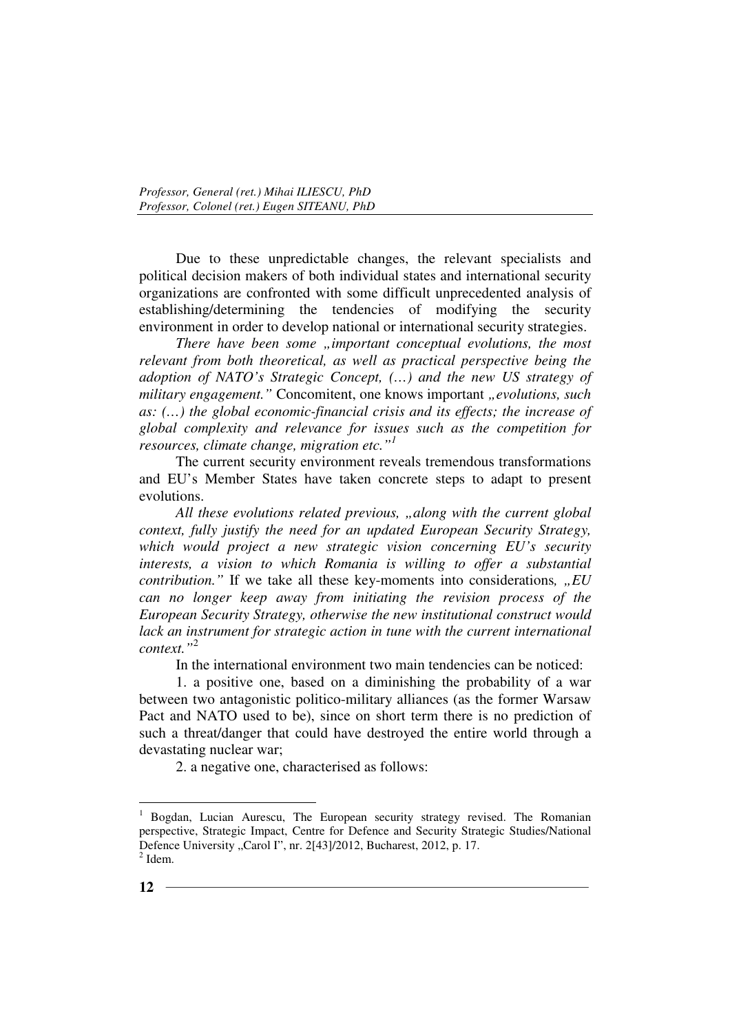Due to these unpredictable changes, the relevant specialists and political decision makers of both individual states and international security organizations are confronted with some difficult unprecedented analysis of establishing/determining the tendencies of modifying the security environment in order to develop national or international security strategies.

*There have been some "important conceptual evolutions, the most relevant from both theoretical, as well as practical perspective being the adoption of NATO's Strategic Concept, (…) and the new US strategy of military engagement.*" Concomitent, one knows important "evolutions, such *as: (…) the global economic-financial crisis and its effects; the increase of global complexity and relevance for issues such as the competition for resources, climate change, migration etc."<sup>1</sup>*

The current security environment reveals tremendous transformations and EU's Member States have taken concrete steps to adapt to present evolutions.

*All these evolutions related previous, "along with the current global context, fully justify the need for an updated European Security Strategy, which would project a new strategic vision concerning EU's security interests, a vision to which Romania is willing to offer a substantial contribution.*" If we take all these key-moments into considerations, "EU *can no longer keep away from initiating the revision process of the European Security Strategy, otherwise the new institutional construct would*  lack an instrument for strategic action in tune with the current international *context."*<sup>2</sup>

In the international environment two main tendencies can be noticed:

1. a positive one, based on a diminishing the probability of a war between two antagonistic politico-military alliances (as the former Warsaw Pact and NATO used to be), since on short term there is no prediction of such a threat/danger that could have destroyed the entire world through a devastating nuclear war;

2. a negative one, characterised as follows:

<sup>1</sup> Bogdan, Lucian Aurescu, The European security strategy revised. The Romanian perspective, Strategic Impact, Centre for Defence and Security Strategic Studies/National Defence University "Carol I", nr. 2[43]/2012, Bucharest, 2012, p. 17.  $2$  Idem.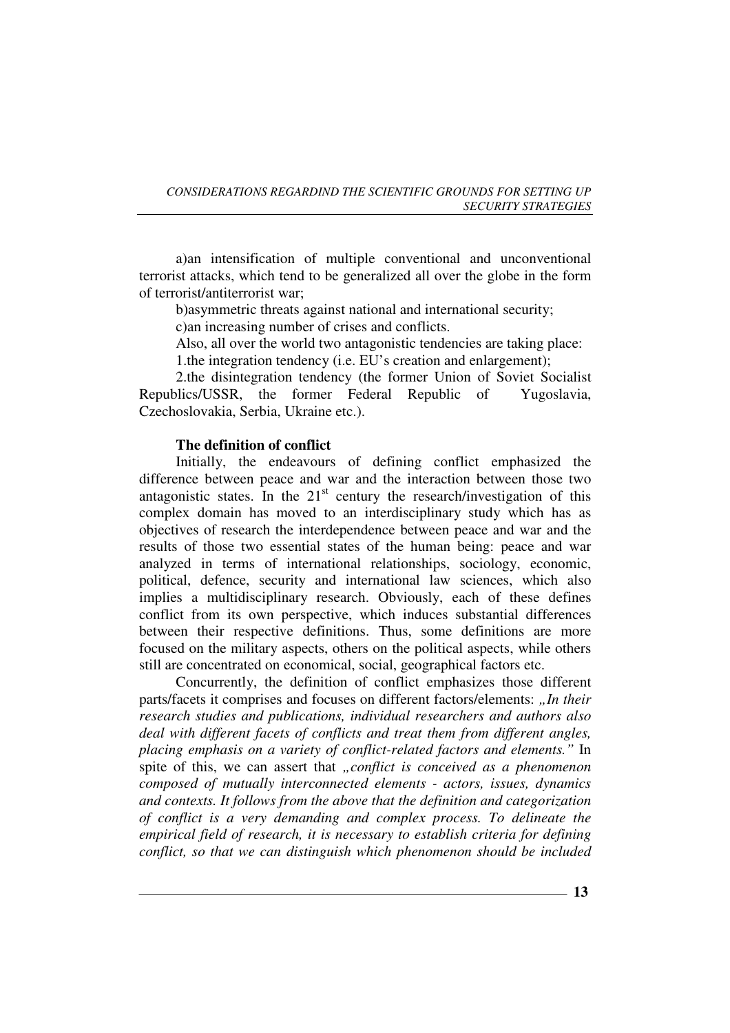a)an intensification of multiple conventional and unconventional terrorist attacks, which tend to be generalized all over the globe in the form of terrorist/antiterrorist war;

b)asymmetric threats against national and international security;

c)an increasing number of crises and conflicts.

Also, all over the world two antagonistic tendencies are taking place: 1.the integration tendency (i.e. EU's creation and enlargement);

2.the disintegration tendency (the former Union of Soviet Socialist Republics/USSR, the former Federal Republic of Yugoslavia, Czechoslovakia, Serbia, Ukraine etc.).

# **The definition of conflict**

Initially, the endeavours of defining conflict emphasized the difference between peace and war and the interaction between those two antagonistic states. In the  $21<sup>st</sup>$  century the research/investigation of this complex domain has moved to an interdisciplinary study which has as objectives of research the interdependence between peace and war and the results of those two essential states of the human being: peace and war analyzed in terms of international relationships, sociology, economic, political, defence, security and international law sciences, which also implies a multidisciplinary research. Obviously, each of these defines conflict from its own perspective, which induces substantial differences between their respective definitions. Thus, some definitions are more focused on the military aspects, others on the political aspects, while others still are concentrated on economical, social, geographical factors etc.

Concurrently, the definition of conflict emphasizes those different parts/facets it comprises and focuses on different factors/elements: "In their *research studies and publications, individual researchers and authors also deal with different facets of conflicts and treat them from different angles, placing emphasis on a variety of conflict-related factors and elements."* In spite of this, we can assert that *"conflict is conceived as a phenomenon composed of mutually interconnected elements - actors, issues, dynamics and contexts. It follows from the above that the definition and categorization of conflict is a very demanding and complex process. To delineate the empirical field of research, it is necessary to establish criteria for defining conflict, so that we can distinguish which phenomenon should be included* 

**13**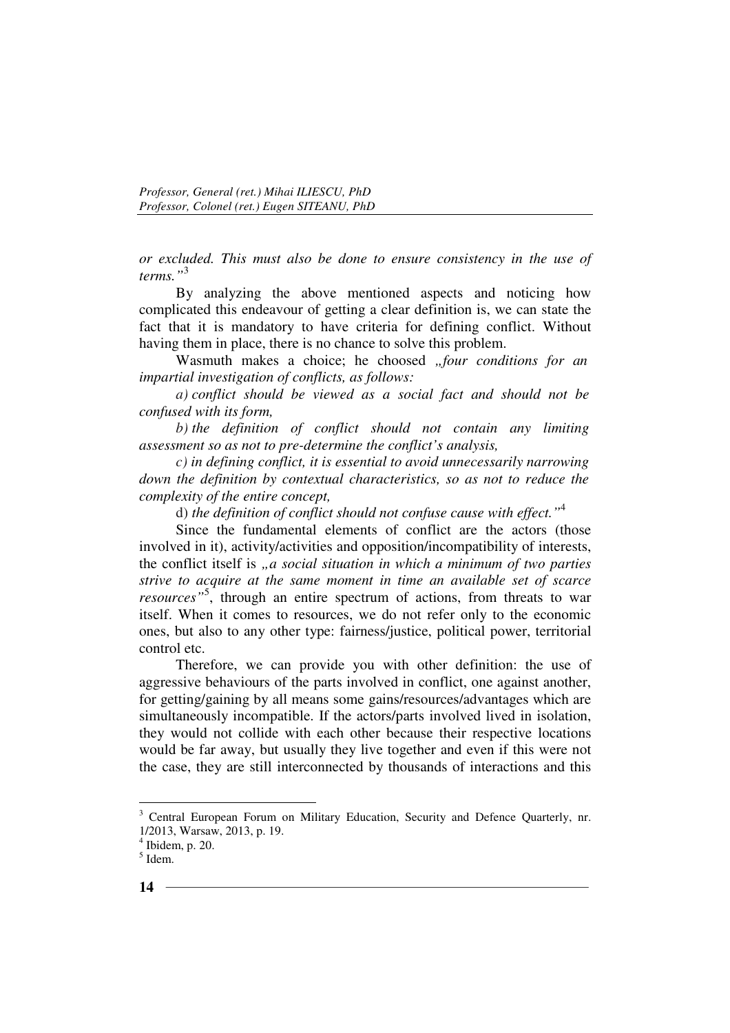*or excluded. This must also be done to ensure consistency in the use of terms."*<sup>3</sup>

By analyzing the above mentioned aspects and noticing how complicated this endeavour of getting a clear definition is, we can state the fact that it is mandatory to have criteria for defining conflict. Without having them in place, there is no chance to solve this problem.

Wasmuth makes a choice; he choosed *"four conditions for an impartial investigation of conflicts, as follows:* 

*a) conflict should be viewed as a social fact and should not be confused with its form,* 

*b) the definition of conflict should not contain any limiting assessment so as not to pre-determine the conflict's analysis,* 

*c) in defining conflict, it is essential to avoid unnecessarily narrowing down the definition by contextual characteristics, so as not to reduce the complexity of the entire concept,* 

d) *the definition of conflict should not confuse cause with effect."*<sup>4</sup>

Since the fundamental elements of conflict are the actors (those involved in it), activity/activities and opposition/incompatibility of interests, the conflict itself is *"a social situation in which a minimum of two parties strive to acquire at the same moment in time an available set of scarce*  resources<sup>35</sup>, through an entire spectrum of actions, from threats to war itself. When it comes to resources, we do not refer only to the economic ones, but also to any other type: fairness/justice, political power, territorial control etc.

Therefore, we can provide you with other definition: the use of aggressive behaviours of the parts involved in conflict, one against another, for getting/gaining by all means some gains/resources/advantages which are simultaneously incompatible. If the actors/parts involved lived in isolation, they would not collide with each other because their respective locations would be far away, but usually they live together and even if this were not the case, they are still interconnected by thousands of interactions and this

<sup>&</sup>lt;sup>3</sup> Central European Forum on Military Education, Security and Defence Quarterly, nr. 1/2013, Warsaw, 2013, p. 19.

 $<sup>4</sup>$  Ibidem, p. 20.</sup>

<sup>5</sup> Idem.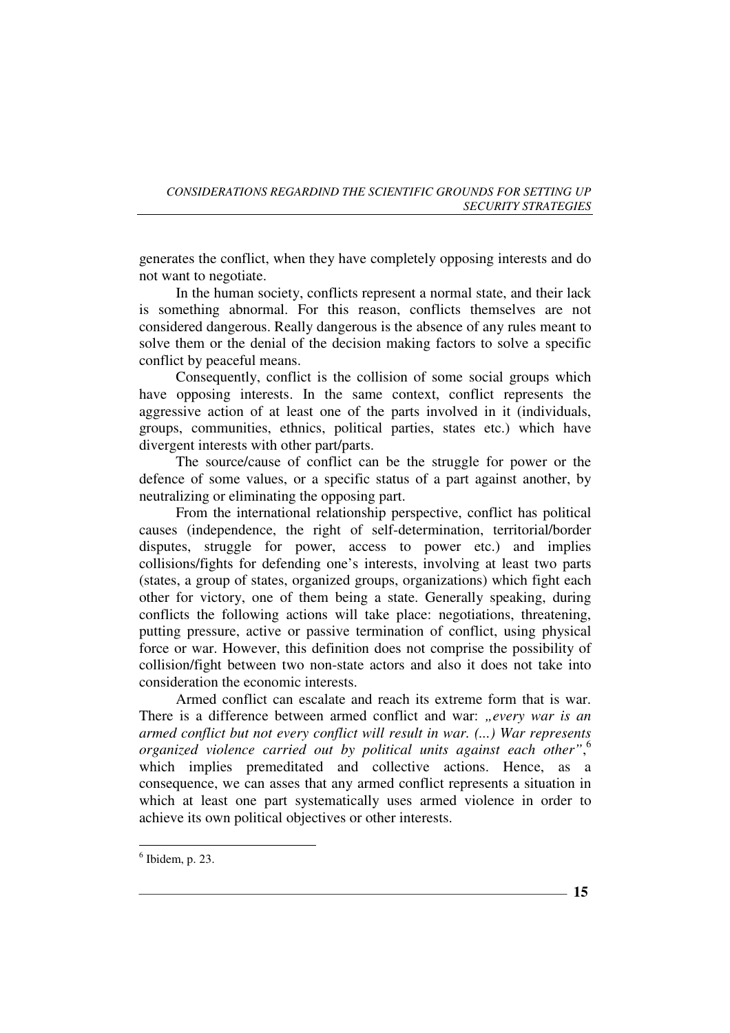generates the conflict, when they have completely opposing interests and do not want to negotiate.

In the human society, conflicts represent a normal state, and their lack is something abnormal. For this reason, conflicts themselves are not considered dangerous. Really dangerous is the absence of any rules meant to solve them or the denial of the decision making factors to solve a specific conflict by peaceful means.

Consequently, conflict is the collision of some social groups which have opposing interests. In the same context, conflict represents the aggressive action of at least one of the parts involved in it (individuals, groups, communities, ethnics, political parties, states etc.) which have divergent interests with other part/parts.

The source/cause of conflict can be the struggle for power or the defence of some values, or a specific status of a part against another, by neutralizing or eliminating the opposing part.

From the international relationship perspective, conflict has political causes (independence, the right of self-determination, territorial/border disputes, struggle for power, access to power etc.) and implies collisions/fights for defending one's interests, involving at least two parts (states, a group of states, organized groups, organizations) which fight each other for victory, one of them being a state. Generally speaking, during conflicts the following actions will take place: negotiations, threatening, putting pressure, active or passive termination of conflict, using physical force or war. However, this definition does not comprise the possibility of collision/fight between two non-state actors and also it does not take into consideration the economic interests.

Armed conflict can escalate and reach its extreme form that is war. There is a difference between armed conflict and war: "every war is an *armed conflict but not every conflict will result in war. (...) War represents organized violence carried out by political units against each other"*, 6 which implies premeditated and collective actions. Hence, as a consequence, we can asses that any armed conflict represents a situation in which at least one part systematically uses armed violence in order to achieve its own political objectives or other interests.

 $\overline{a}$ 

**15**

 $<sup>6</sup>$  Ibidem, p. 23.</sup>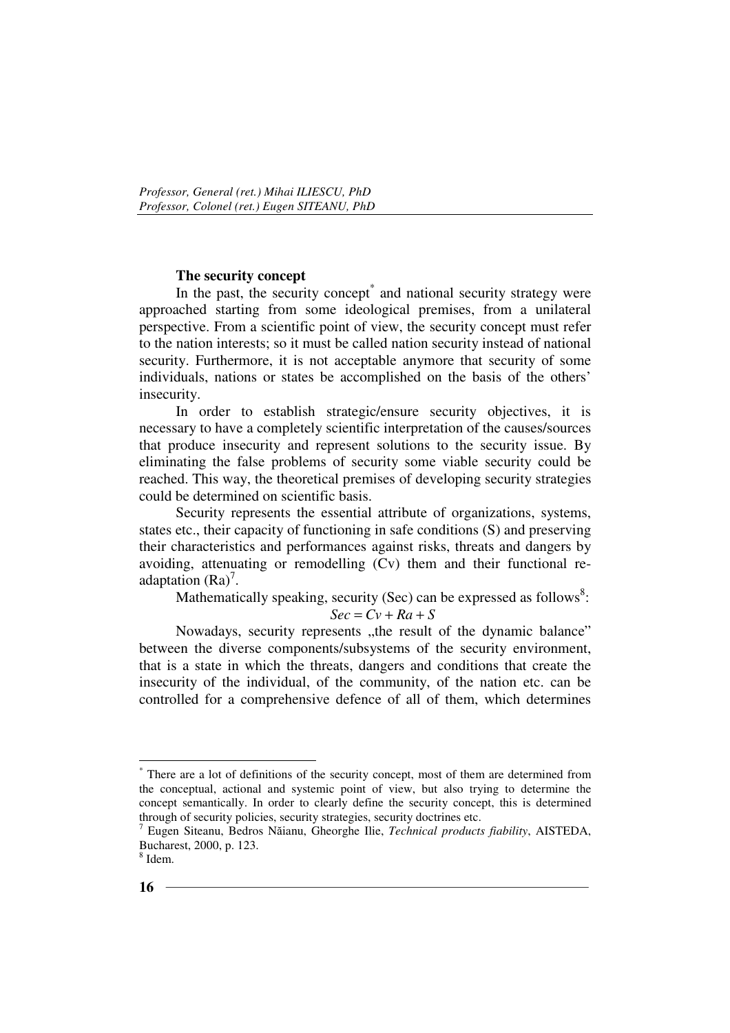## **The security concept**

In the past, the security concept<sup>\*</sup> and national security strategy were approached starting from some ideological premises, from a unilateral perspective. From a scientific point of view, the security concept must refer to the nation interests; so it must be called nation security instead of national security. Furthermore, it is not acceptable anymore that security of some individuals, nations or states be accomplished on the basis of the others' insecurity.

In order to establish strategic/ensure security objectives, it is necessary to have a completely scientific interpretation of the causes/sources that produce insecurity and represent solutions to the security issue. By eliminating the false problems of security some viable security could be reached. This way, the theoretical premises of developing security strategies could be determined on scientific basis.

Security represents the essential attribute of organizations, systems, states etc., their capacity of functioning in safe conditions (S) and preserving their characteristics and performances against risks, threats and dangers by avoiding, attenuating or remodelling (Cv) them and their functional readaptation  $(Ra)^7$ .

Mathematically speaking, security (Sec) can be expressed as follows<sup>8</sup>:  $Sec = CV + Ra + S$ 

Nowadays, security represents "the result of the dynamic balance" between the diverse components/subsystems of the security environment, that is a state in which the threats, dangers and conditions that create the insecurity of the individual, of the community, of the nation etc. can be controlled for a comprehensive defence of all of them, which determines

<sup>\*</sup> There are a lot of definitions of the security concept, most of them are determined from the conceptual, actional and systemic point of view, but also trying to determine the concept semantically. In order to clearly define the security concept, this is determined through of security policies, security strategies, security doctrines etc.

<sup>7</sup> Eugen Siteanu, Bedros Năianu, Gheorghe Ilie, *Technical products fiability*, AISTEDA, Bucharest, 2000, p. 123.

<sup>8</sup> Idem.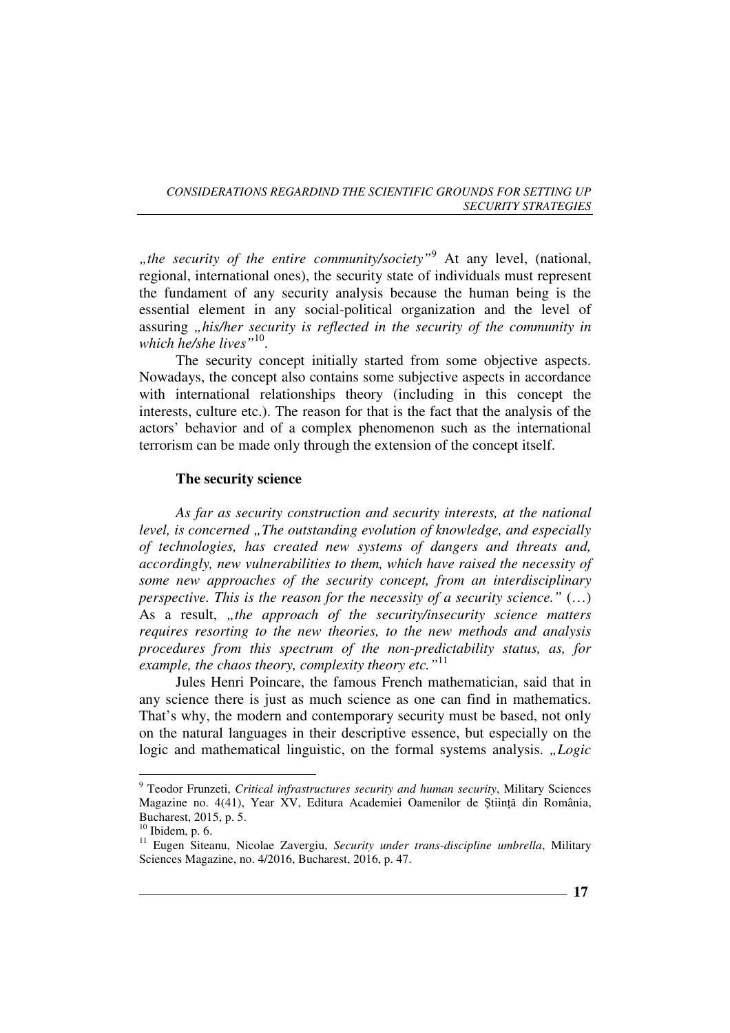"the security of the entire community/society<sup>"9</sup> At any level, (national, regional, international ones), the security state of individuals must represent the fundament of any security analysis because the human being is the essential element in any social-political organization and the level of assuring *"his/her security is reflected in the security of the community in which he/she lives"*<sup>10</sup> .

The security concept initially started from some objective aspects. Nowadays, the concept also contains some subjective aspects in accordance with international relationships theory (including in this concept the interests, culture etc.). The reason for that is the fact that the analysis of the actors' behavior and of a complex phenomenon such as the international terrorism can be made only through the extension of the concept itself.

## **The security science**

*As far as security construction and security interests, at the national level, is concerned "The outstanding evolution of knowledge, and especially of technologies, has created new systems of dangers and threats and, accordingly, new vulnerabilities to them, which have raised the necessity of some new approaches of the security concept, from an interdisciplinary perspective. This is the reason for the necessity of a security science."* (…) As a result, "the approach of the security/insecurity science matters *requires resorting to the new theories, to the new methods and analysis procedures from this spectrum of the non-predictability status, as, for example, the chaos theory, complexity theory etc."*<sup>11</sup>

Jules Henri Poincare, the famous French mathematician, said that in any science there is just as much science as one can find in mathematics. That's why, the modern and contemporary security must be based, not only on the natural languages in their descriptive essence, but especially on the logic and mathematical linguistic, on the formal systems analysis. *..Logic* 

<sup>9</sup> Teodor Frunzeti, *Critical infrastructures security and human security*, Military Sciences Magazine no. 4(41), Year XV, Editura Academiei Oamenilor de Stiintă din România, Bucharest, 2015, p. 5.

 $10$  Ibidem, p. 6.

<sup>11</sup> Eugen Siteanu, Nicolae Zavergiu, *Security under trans-discipline umbrella*, Military Sciences Magazine, no. 4/2016, Bucharest, 2016, p. 47.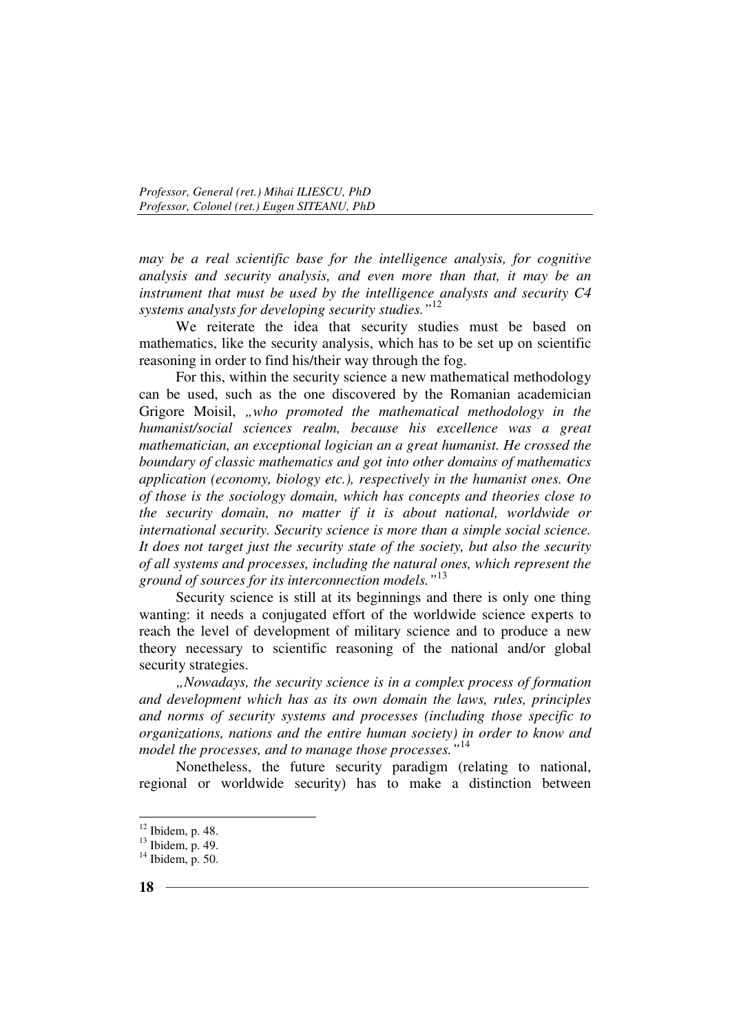*may be a real scientific base for the intelligence analysis, for cognitive analysis and security analysis, and even more than that, it may be an instrument that must be used by the intelligence analysts and security C4 systems analysts for developing security studies."*<sup>12</sup>

We reiterate the idea that security studies must be based on mathematics, like the security analysis, which has to be set up on scientific reasoning in order to find his/their way through the fog.

For this, within the security science a new mathematical methodology can be used, such as the one discovered by the Romanian academician Grigore Moisil, *"who promoted the mathematical methodology in the humanist/social sciences realm, because his excellence was a great mathematician, an exceptional logician an a great humanist. He crossed the boundary of classic mathematics and got into other domains of mathematics application (economy, biology etc.), respectively in the humanist ones. One of those is the sociology domain, which has concepts and theories close to the security domain, no matter if it is about national, worldwide or international security. Security science is more than a simple social science. It does not target just the security state of the society, but also the security of all systems and processes, including the natural ones, which represent the ground of sources for its interconnection models."*<sup>13</sup>

Security science is still at its beginnings and there is only one thing wanting: it needs a conjugated effort of the worldwide science experts to reach the level of development of military science and to produce a new theory necessary to scientific reasoning of the national and/or global security strategies.

*"Nowadays, the security science is in a complex process of formation and development which has as its own domain the laws, rules, principles and norms of security systems and processes (including those specific to organizations, nations and the entire human society) in order to know and model the processes, and to manage those processes."* 14

Nonetheless, the future security paradigm (relating to national, regional or worldwide security) has to make a distinction between

 $12$  Ibidem, p. 48.

 $13$  Ibidem, p. 49.

 $14$  Ibidem, p. 50.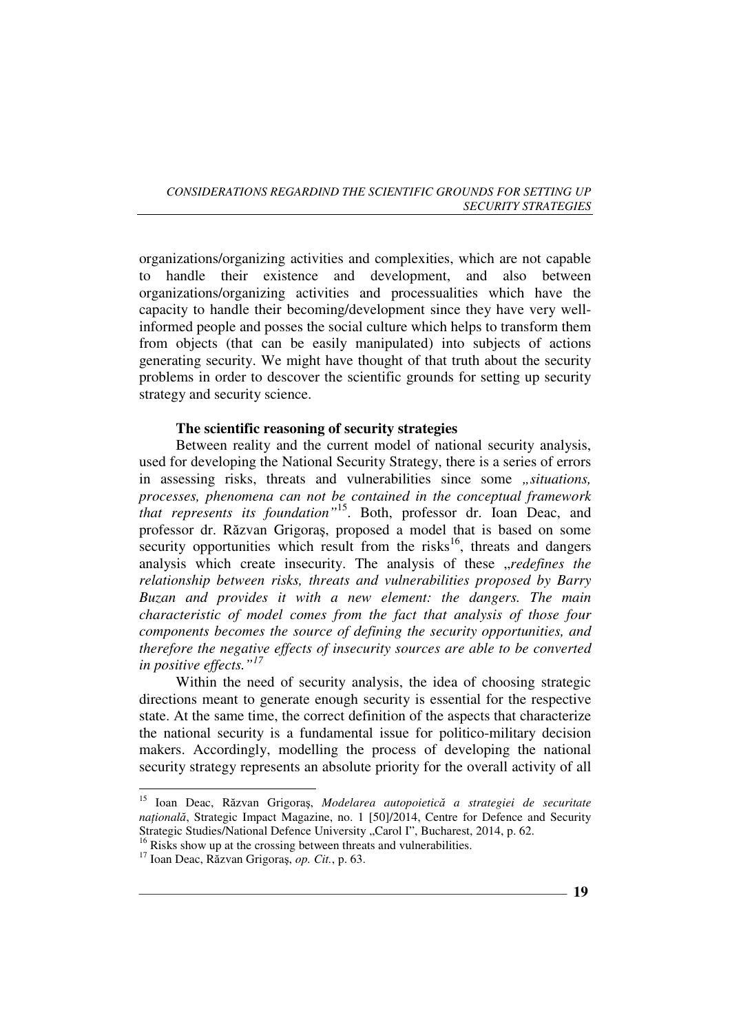organizations/organizing activities and complexities, which are not capable to handle their existence and development, and also between organizations/organizing activities and processualities which have the capacity to handle their becoming/development since they have very wellinformed people and posses the social culture which helps to transform them from objects (that can be easily manipulated) into subjects of actions generating security. We might have thought of that truth about the security problems in order to descover the scientific grounds for setting up security strategy and security science.

## **The scientific reasoning of security strategies**

Between reality and the current model of national security analysis, used for developing the National Security Strategy, there is a series of errors in assessing risks, threats and vulnerabilities since some *"situations*, *processes, phenomena can not be contained in the conceptual framework that represents its foundation"*<sup>15</sup>. Both, professor dr. Ioan Deac, and professor dr. Răzvan Grigoraş, proposed a model that is based on some security opportunities which result from the risks<sup>16</sup>, threats and dangers analysis which create insecurity. The analysis of these "redefines the *relationship between risks, threats and vulnerabilities proposed by Barry Buzan and provides it with a new element: the dangers. The main characteristic of model comes from the fact that analysis of those four components becomes the source of defining the security opportunities, and therefore the negative effects of insecurity sources are able to be converted in positive effects."<sup>17</sup>*

Within the need of security analysis, the idea of choosing strategic directions meant to generate enough security is essential for the respective state. At the same time, the correct definition of the aspects that characterize the national security is a fundamental issue for politico-military decision makers. Accordingly, modelling the process of developing the national security strategy represents an absolute priority for the overall activity of all

<sup>15</sup> Ioan Deac, Răzvan Grigoraş, *Modelarea autopoietică a strategiei de securitate natională*, Strategic Impact Magazine, no. 1 [50]/2014, Centre for Defence and Security Strategic Studies/National Defence University "Carol I", Bucharest, 2014, p. 62.

<sup>&</sup>lt;sup>16</sup> Risks show up at the crossing between threats and vulnerabilities.

<sup>17</sup> Ioan Deac, Răzvan Grigoraş, *op. Cit.*, p. 63.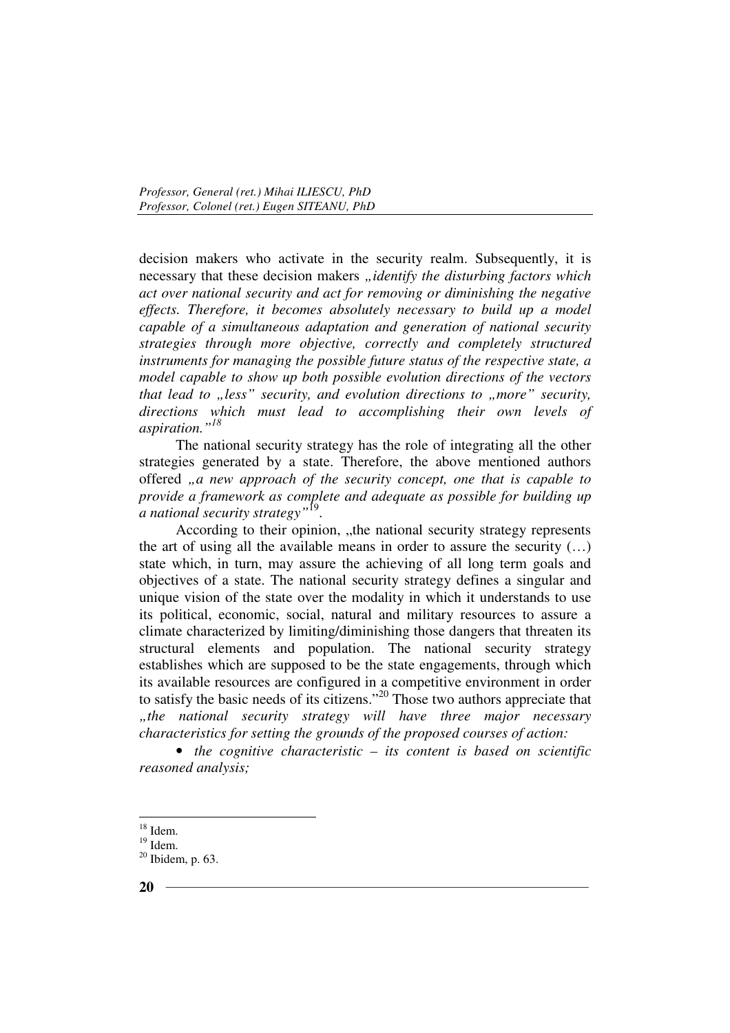decision makers who activate in the security realm. Subsequently, it is necessary that these decision makers *"identify the disturbing factors which act over national security and act for removing or diminishing the negative effects. Therefore, it becomes absolutely necessary to build up a model capable of a simultaneous adaptation and generation of national security strategies through more objective, correctly and completely structured instruments for managing the possible future status of the respective state, a model capable to show up both possible evolution directions of the vectors that lead to "less" security, and evolution directions to "more" security, directions which must lead to accomplishing their own levels of aspiration."<sup>18</sup>*

The national security strategy has the role of integrating all the other strategies generated by a state. Therefore, the above mentioned authors offered , a new approach of the security concept, one that is capable to *provide a framework as complete and adequate as possible for building up a national security strategy"*<sup>19</sup> .

According to their opinion, "the national security strategy represents the art of using all the available means in order to assure the security (…) state which, in turn, may assure the achieving of all long term goals and objectives of a state. The national security strategy defines a singular and unique vision of the state over the modality in which it understands to use its political, economic, social, natural and military resources to assure a climate characterized by limiting/diminishing those dangers that threaten its structural elements and population. The national security strategy establishes which are supposed to be the state engagements, through which its available resources are configured in a competitive environment in order to satisfy the basic needs of its citizens."<sup>20</sup> Those two authors appreciate that *"the national security strategy will have three major necessary characteristics for setting the grounds of the proposed courses of action:* 

• *the cognitive characteristic – its content is based on scientific reasoned analysis;* 

 $18$  Idem.

 $19$  Idem.

 $20$  Ibidem, p. 63.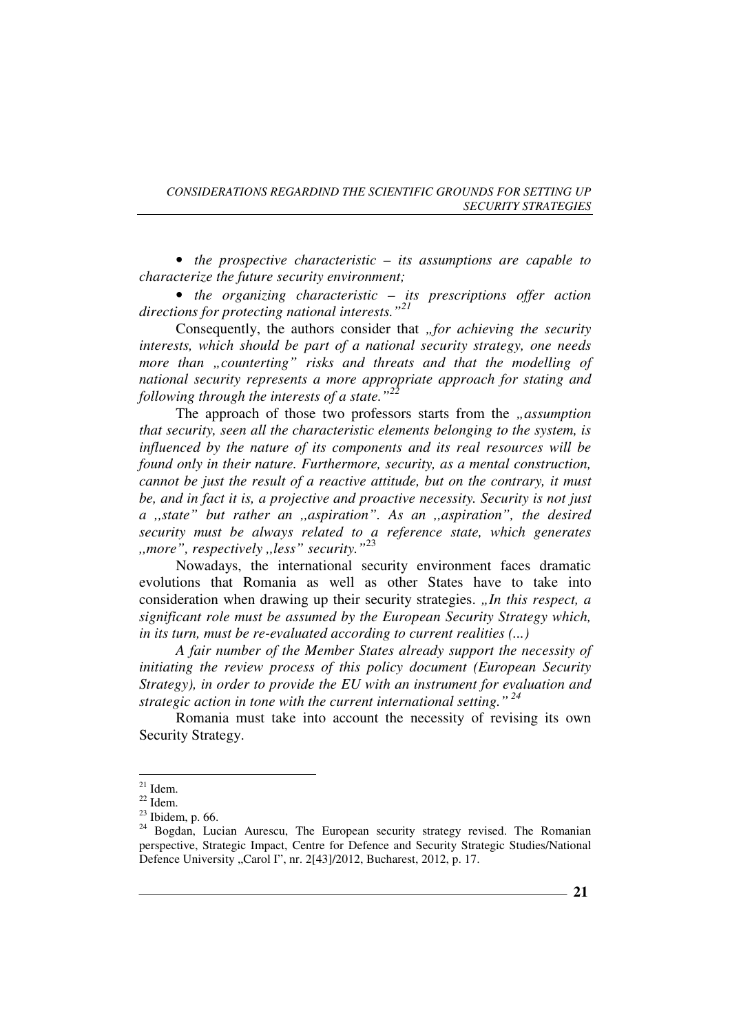• *the prospective characteristic – its assumptions are capable to characterize the future security environment;* 

• *the organizing characteristic – its prescriptions offer action directions for protecting national interests."<sup>21</sup>*

Consequently, the authors consider that *"for achieving the security interests, which should be part of a national security strategy, one needs more than "counterting" risks and threats and that the modelling of national security represents a more appropriate approach for stating and following through the interests of a state."<sup>22</sup>*

The approach of those two professors starts from the *"assumption that security, seen all the characteristic elements belonging to the system, is influenced by the nature of its components and its real resources will be found only in their nature. Furthermore, security, as a mental construction, cannot be just the result of a reactive attitude, but on the contrary, it must be, and in fact it is, a projective and proactive necessity. Security is not just a ,,state" but rather an ,,aspiration". As an ,,aspiration", the desired security must be always related to a reference state, which generates ,,more", respectively ,,less" security."*<sup>23</sup>

Nowadays, the international security environment faces dramatic evolutions that Romania as well as other States have to take into consideration when drawing up their security strategies. *"In this respect, a significant role must be assumed by the European Security Strategy which, in its turn, must be re-evaluated according to current realities (...)* 

*A fair number of the Member States already support the necessity of initiating the review process of this policy document (European Security Strategy), in order to provide the EU with an instrument for evaluation and strategic action in tone with the current international setting."<sup>24</sup>*

Romania must take into account the necessity of revising its own Security Strategy.

 $21$  Idem.

 $^{22}$  Idem.

 $23$  Ibidem, p. 66.

<sup>&</sup>lt;sup>24</sup> Bogdan, Lucian Aurescu, The European security strategy revised. The Romanian perspective, Strategic Impact, Centre for Defence and Security Strategic Studies/National Defence University "Carol I", nr. 2[43]/2012, Bucharest, 2012, p. 17.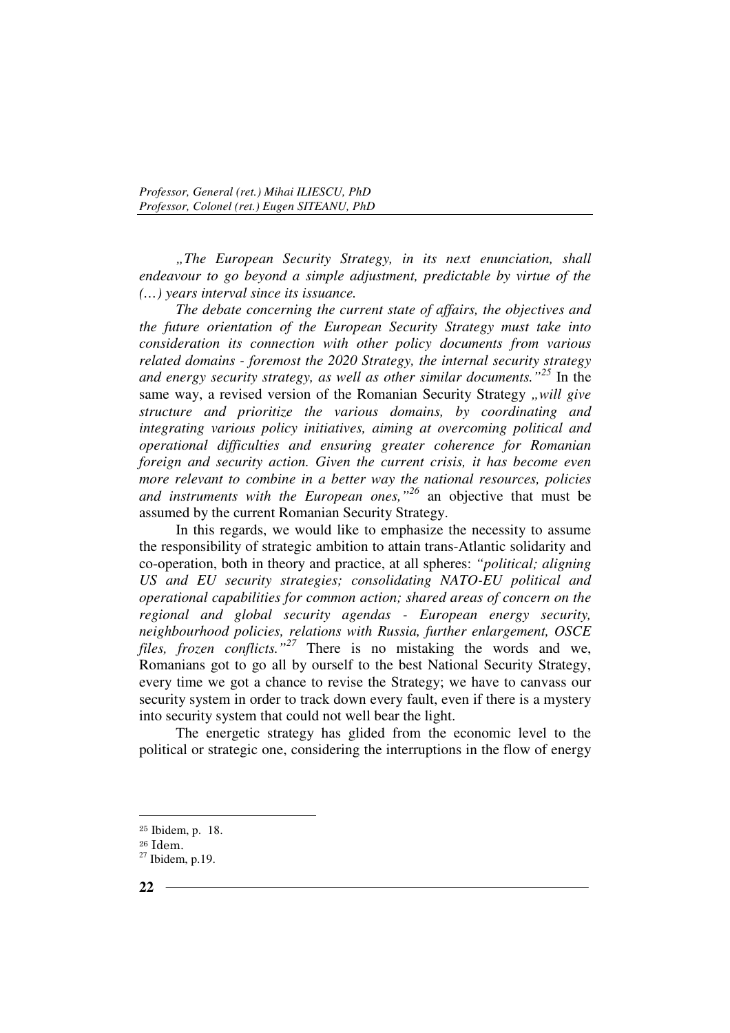*"The European Security Strategy, in its next enunciation, shall endeavour to go beyond a simple adjustment, predictable by virtue of the (…) years interval since its issuance.* 

*The debate concerning the current state of affairs, the objectives and the future orientation of the European Security Strategy must take into consideration its connection with other policy documents from various related domains - foremost the 2020 Strategy, the internal security strategy and energy security strategy, as well as other similar documents."<sup>25</sup>* In the same way, a revised version of the Romanian Security Strategy "will give *structure and prioritize the various domains, by coordinating and integrating various policy initiatives, aiming at overcoming political and operational difficulties and ensuring greater coherence for Romanian foreign and security action. Given the current crisis, it has become even more relevant to combine in a better way the national resources, policies and instruments with the European ones,"<sup>26</sup>* an objective that must be assumed by the current Romanian Security Strategy.

In this regards, we would like to emphasize the necessity to assume the responsibility of strategic ambition to attain trans-Atlantic solidarity and co-operation, both in theory and practice, at all spheres: *"political; aligning US and EU security strategies; consolidating NATO-EU political and operational capabilities for common action; shared areas of concern on the regional and global security agendas - European energy security, neighbourhood policies, relations with Russia, further enlargement, OSCE files, frozen conflicts."<sup>27</sup>* There is no mistaking the words and we, Romanians got to go all by ourself to the best National Security Strategy, every time we got a chance to revise the Strategy; we have to canvass our security system in order to track down every fault, even if there is a mystery into security system that could not well bear the light.

The energetic strategy has glided from the economic level to the political or strategic one, considering the interruptions in the flow of energy

<sup>25</sup> Ibidem, p. 18.

<sup>26</sup> Idem.

<sup>27</sup> Ibidem, p.19.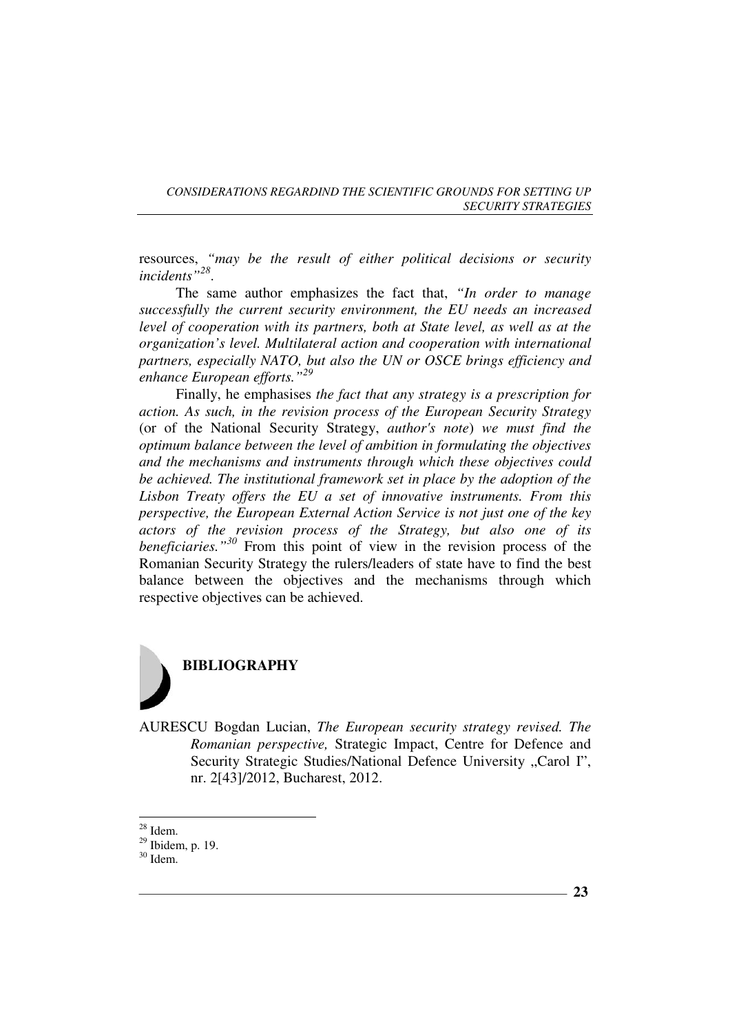resources, *"may be the result of either political decisions or security incidents"<sup>28</sup>* .

The same author emphasizes the fact that, *"In order to manage successfully the current security environment, the EU needs an increased level of cooperation with its partners, both at State level, as well as at the organization's level. Multilateral action and cooperation with international partners, especially NATO, but also the UN or OSCE brings efficiency and enhance European efforts."<sup>29</sup>*

Finally, he emphasises *the fact that any strategy is a prescription for action. As such, in the revision process of the European Security Strategy*  (or of the National Security Strategy, *author's note*) *we must find the optimum balance between the level of ambition in formulating the objectives and the mechanisms and instruments through which these objectives could be achieved. The institutional framework set in place by the adoption of the Lisbon Treaty offers the EU a set of innovative instruments. From this perspective, the European External Action Service is not just one of the key actors of the revision process of the Strategy, but also one of its beneficiaries."<sup>30</sup>* From this point of view in the revision process of the Romanian Security Strategy the rulers/leaders of state have to find the best balance between the objectives and the mechanisms through which respective objectives can be achieved.



AURESCU Bogdan Lucian, *The European security strategy revised. The Romanian perspective,* Strategic Impact, Centre for Defence and Security Strategic Studies/National Defence University "Carol I", nr. 2[43]/2012, Bucharest, 2012.

 $28$  Idem.

 $29$  Ibidem, p. 19.

<sup>30</sup> Idem.